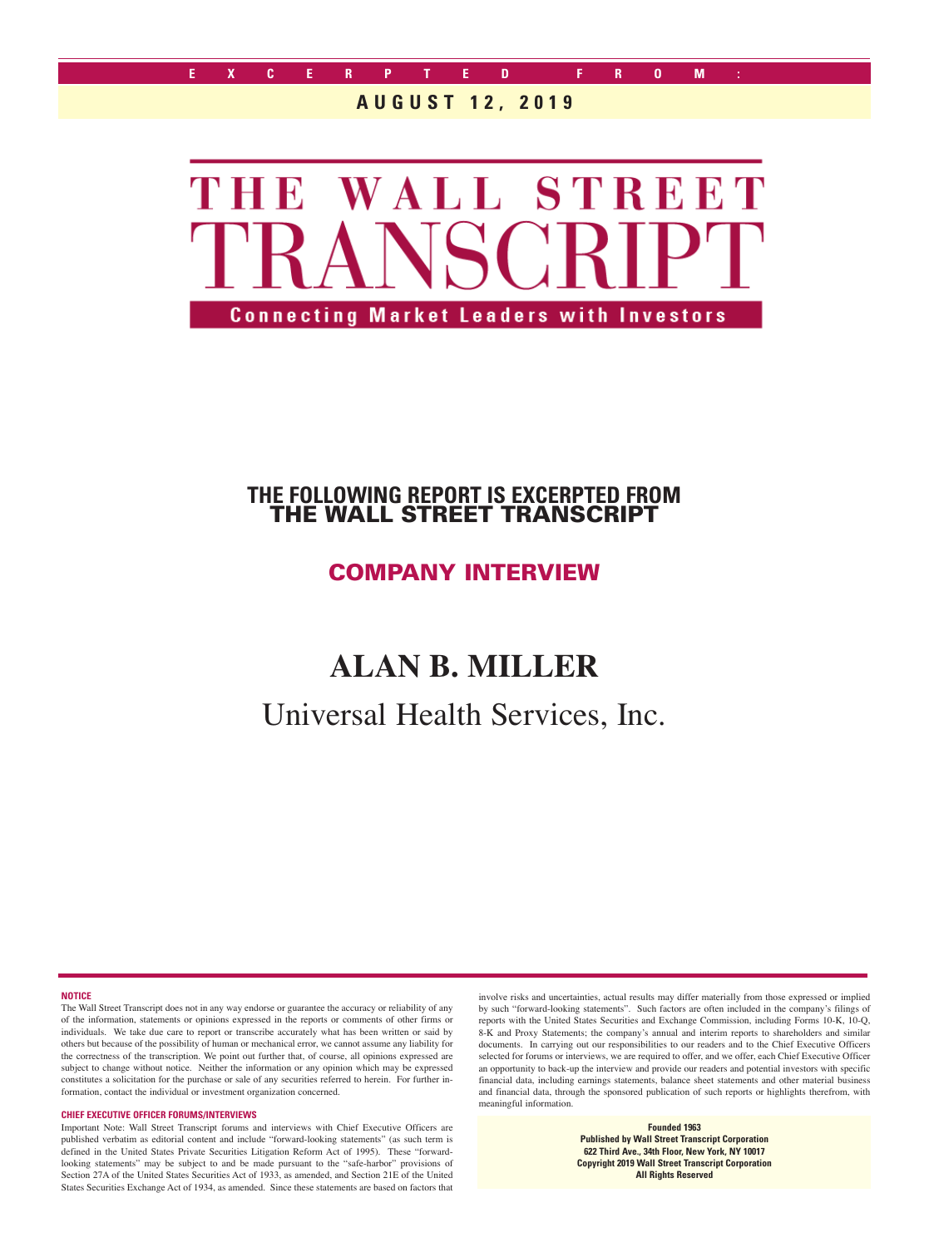

### **AUGUST 12, 2019**



## **THE FOLLOWING REPORT IS EXCERPTED FROM** THE WALL STREET TRANSCRIPT

# COMPANY INTERVIEW

# **ALAN B. MILLER**

Universal Health Services, Inc.

**NOTICE**

The Wall Street Transcript does not in any way endorse or guarantee the accuracy or reliability of any of the information, statements or opinions expressed in the reports or comments of other firms or individuals. We take due care to report or transcribe accurately what has been written or said by others but because of the possibility of human or mechanical error, we cannot assume any liability for the correctness of the transcription. We point out further that, of course, all opinions expressed are subject to change without notice. Neither the information or any opinion which may be expressed constitutes a solicitation for the purchase or sale of any securities referred to herein. For further information, contact the individual or investment organization concerned.

#### **CHIEF EXECUTIVE OFFICER FORUMS/INTERVIEWS**

Important Note: Wall Street Transcript forums and interviews with Chief Executive Officers are published verbatim as editorial content and include "forward-looking statements" (as such term is defined in the United States Private Securities Litigation Reform Act of 1995). These "forwardlooking statements" may be subject to and be made pursuant to the "safe-harbor" provisions of Section 27A of the United States Securities Act of 1933, as amended, and Section 21E of the United States Securities Exchange Act of 1934, as amended. Since these statements are based on factors that

involve risks and uncertainties, actual results may differ materially from those expressed or implied by such "forward-looking statements". Such factors are often included in the company's filings of reports with the United States Securities and Exchange Commission, including Forms 10-K, 10-Q, 8-K and Proxy Statements; the company's annual and interim reports to shareholders and similar documents. In carrying out our responsibilities to our readers and to the Chief Executive Officers selected for forums or interviews, we are required to offer, and we offer, each Chief Executive Officer an opportunity to back-up the interview and provide our readers and potential investors with specific financial data, including earnings statements, balance sheet statements and other material business and financial data, through the sponsored publication of such reports or highlights therefrom, with meaningful information.

> **Founded 1963 Published by Wall Street Transcript Corporation 622 Third Ave., 34th Floor, New York, NY 10017 Copyright 2019 Wall Street Transcript Corporation All Rights Reserved**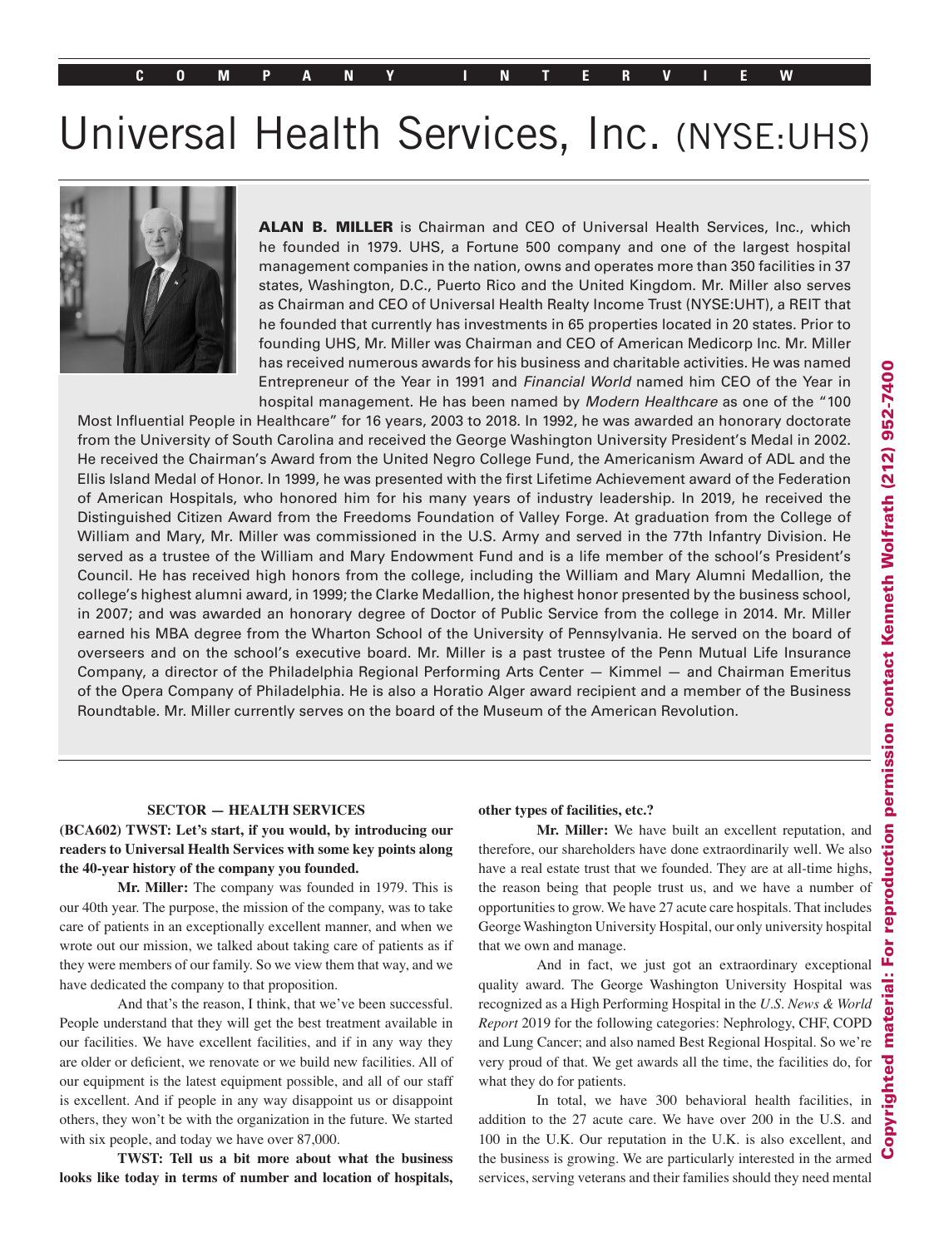# Universal Health Services, Inc. (NYSE:UHS)



ALAN B. MILLER is Chairman and CEO of Universal Health Services, Inc., which he founded in 1979. UHS, a Fortune 500 company and one of the largest hospital management companies in the nation, owns and operates more than 350 facilities in 37 states, Washington, D.C., Puerto Rico and the United Kingdom. Mr. Miller also serves as Chairman and CEO of Universal Health Realty Income Trust (NYSE:UHT), a REIT that he founded that currently has investments in 65 properties located in 20 states. Prior to founding UHS, Mr. Miller was Chairman and CEO of American Medicorp Inc. Mr. Miller has received numerous awards for his business and charitable activities. He was named Entrepreneur of the Year in 1991 and Financial World named him CEO of the Year in hospital management. He has been named by Modern Healthcare as one of the "100

Most Influential People in Healthcare" for 16 years, 2003 to 2018. In 1992, he was awarded an honorary doctorate from the University of South Carolina and received the George Washington University President's Medal in 2002. He received the Chairman's Award from the United Negro College Fund, the Americanism Award of ADL and the Ellis Island Medal of Honor. In 1999, he was presented with the first Lifetime Achievement award of the Federation of American Hospitals, who honored him for his many years of industry leadership. In 2019, he received the Distinguished Citizen Award from the Freedoms Foundation of Valley Forge. At graduation from the College of William and Mary, Mr. Miller was commissioned in the U.S. Army and served in the 77th Infantry Division. He served as a trustee of the William and Mary Endowment Fund and is a life member of the school's President's Council. He has received high honors from the college, including the William and Mary Alumni Medallion, the college's highest alumni award, in 1999; the Clarke Medallion, the highest honor presented by the business school, in 2007; and was awarded an honorary degree of Doctor of Public Service from the college in 2014. Mr. Miller earned his MBA degree from the Wharton School of the University of Pennsylvania. He served on the board of overseers and on the school's executive board. Mr. Miller is a past trustee of the Penn Mutual Life Insurance Company, a director of the Philadelphia Regional Performing Arts Center — Kimmel — and Chairman Emeritus of the Opera Company of Philadelphia. He is also a Horatio Alger award recipient and a member of the Business Roundtable. Mr. Miller currently serves on the board of the Museum of the American Revolution.

#### **SECTOR — HEALTH SERVICES**

#### **(BCA602) TWST: Let's start, if you would, by introducing our readers to Universal Health Services with some key points along the 40-year history of the company you founded.**

**Mr. Miller:** The company was founded in 1979. This is our 40th year. The purpose, the mission of the company, was to take care of patients in an exceptionally excellent manner, and when we wrote out our mission, we talked about taking care of patients as if they were members of our family. So we view them that way, and we have dedicated the company to that proposition.

And that's the reason, I think, that we've been successful. People understand that they will get the best treatment available in our facilities. We have excellent facilities, and if in any way they are older or deficient, we renovate or we build new facilities. All of our equipment is the latest equipment possible, and all of our staff is excellent. And if people in any way disappoint us or disappoint others, they won't be with the organization in the future. We started with six people, and today we have over 87,000.

**TWST: Tell us a bit more about what the business looks like today in terms of number and location of hospitals,** 

#### **other types of facilities, etc.?**

**Mr. Miller:** We have built an excellent reputation, and therefore, our shareholders have done extraordinarily well. We also have a real estate trust that we founded. They are at all-time highs, the reason being that people trust us, and we have a number of opportunities to grow. We have 27 acute care hospitals. That includes George Washington University Hospital, our only university hospital that we own and manage.

And in fact, we just got an extraordinary exceptional quality award. The George Washington University Hospital was recognized as a High Performing Hospital in the *U.S. News & World Report* 2019 for the following categories: Nephrology, CHF, COPD and Lung Cancer; and also named Best Regional Hospital. So we're very proud of that. We get awards all the time, the facilities do, for what they do for patients.

In total, we have 300 behavioral health facilities, in addition to the 27 acute care. We have over 200 in the U.S. and 100 in the U.K. Our reputation in the U.K. is also excellent, and the business is growing. We are particularly interested in the armed services, serving veterans and their families should they need mental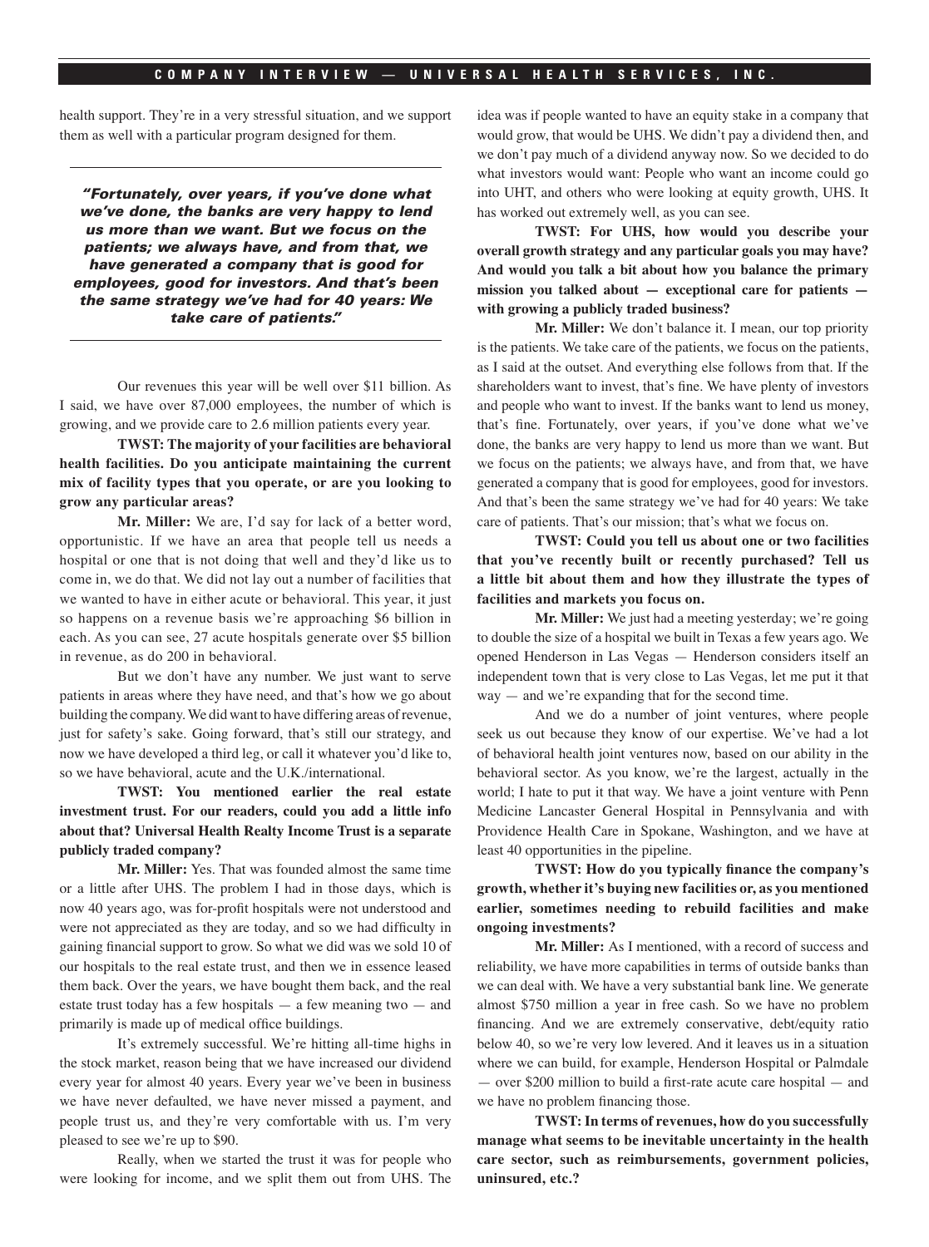health support. They're in a very stressful situation, and we support them as well with a particular program designed for them.

"Fortunately, over years, if you've done what we've done, the banks are very happy to lend us more than we want. But we focus on the patients; we always have, and from that, we have generated a company that is good for employees, good for investors. And that's been the same strategy we've had for 40 years: We take care of patients."

Our revenues this year will be well over \$11 billion. As I said, we have over 87,000 employees, the number of which is growing, and we provide care to 2.6 million patients every year.

**TWST: The majority of your facilities are behavioral health facilities. Do you anticipate maintaining the current mix of facility types that you operate, or are you looking to grow any particular areas?**

**Mr. Miller:** We are, I'd say for lack of a better word, opportunistic. If we have an area that people tell us needs a hospital or one that is not doing that well and they'd like us to come in, we do that. We did not lay out a number of facilities that we wanted to have in either acute or behavioral. This year, it just so happens on a revenue basis we're approaching \$6 billion in each. As you can see, 27 acute hospitals generate over \$5 billion in revenue, as do 200 in behavioral.

But we don't have any number. We just want to serve patients in areas where they have need, and that's how we go about building the company. We did want to have differing areas of revenue, just for safety's sake. Going forward, that's still our strategy, and now we have developed a third leg, or call it whatever you'd like to, so we have behavioral, acute and the U.K./international.

**TWST: You mentioned earlier the real estate investment trust. For our readers, could you add a little info about that? Universal Health Realty Income Trust is a separate publicly traded company?**

**Mr. Miller:** Yes. That was founded almost the same time or a little after UHS. The problem I had in those days, which is now 40 years ago, was for-profit hospitals were not understood and were not appreciated as they are today, and so we had difficulty in gaining financial support to grow. So what we did was we sold 10 of our hospitals to the real estate trust, and then we in essence leased them back. Over the years, we have bought them back, and the real estate trust today has a few hospitals  $-$  a few meaning two  $-$  and primarily is made up of medical office buildings.

It's extremely successful. We're hitting all-time highs in the stock market, reason being that we have increased our dividend every year for almost 40 years. Every year we've been in business we have never defaulted, we have never missed a payment, and people trust us, and they're very comfortable with us. I'm very pleased to see we're up to \$90.

Really, when we started the trust it was for people who were looking for income, and we split them out from UHS. The idea was if people wanted to have an equity stake in a company that would grow, that would be UHS. We didn't pay a dividend then, and we don't pay much of a dividend anyway now. So we decided to do what investors would want: People who want an income could go into UHT, and others who were looking at equity growth, UHS. It has worked out extremely well, as you can see.

**TWST: For UHS, how would you describe your overall growth strategy and any particular goals you may have? And would you talk a bit about how you balance the primary mission you talked about — exceptional care for patients with growing a publicly traded business?**

**Mr. Miller:** We don't balance it. I mean, our top priority is the patients. We take care of the patients, we focus on the patients, as I said at the outset. And everything else follows from that. If the shareholders want to invest, that's fine. We have plenty of investors and people who want to invest. If the banks want to lend us money, that's fine. Fortunately, over years, if you've done what we've done, the banks are very happy to lend us more than we want. But we focus on the patients; we always have, and from that, we have generated a company that is good for employees, good for investors. And that's been the same strategy we've had for 40 years: We take care of patients. That's our mission; that's what we focus on.

**TWST: Could you tell us about one or two facilities that you've recently built or recently purchased? Tell us a little bit about them and how they illustrate the types of facilities and markets you focus on.**

**Mr. Miller:** We just had a meeting yesterday; we're going to double the size of a hospital we built in Texas a few years ago. We opened Henderson in Las Vegas — Henderson considers itself an independent town that is very close to Las Vegas, let me put it that way — and we're expanding that for the second time.

And we do a number of joint ventures, where people seek us out because they know of our expertise. We've had a lot of behavioral health joint ventures now, based on our ability in the behavioral sector. As you know, we're the largest, actually in the world; I hate to put it that way. We have a joint venture with Penn Medicine Lancaster General Hospital in Pennsylvania and with Providence Health Care in Spokane, Washington, and we have at least 40 opportunities in the pipeline.

**TWST: How do you typically finance the company's growth, whether it's buying new facilities or, as you mentioned earlier, sometimes needing to rebuild facilities and make ongoing investments?**

**Mr. Miller:** As I mentioned, with a record of success and reliability, we have more capabilities in terms of outside banks than we can deal with. We have a very substantial bank line. We generate almost \$750 million a year in free cash. So we have no problem financing. And we are extremely conservative, debt/equity ratio below 40, so we're very low levered. And it leaves us in a situation where we can build, for example, Henderson Hospital or Palmdale — over \$200 million to build a first-rate acute care hospital — and we have no problem financing those.

**TWST: In terms of revenues, how do you successfully manage what seems to be inevitable uncertainty in the health care sector, such as reimbursements, government policies, uninsured, etc.?**